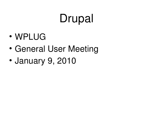## Drupal

- WPLUG
- General User Meeting
- January 9, 2010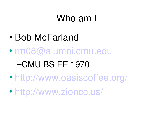## Who am I

- Bob McFarland
- [rm08@alumni.cmu.edu](mailto:rm08@alumni.cmu.edu)

### –CMU BS EE 1970

- <http://www.oasiscoffee.org/>
- <http://www.zioncc.us/>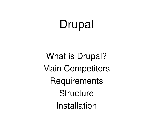## Drupal

What is Drupal? Main Competitors **Requirements Structure** Installation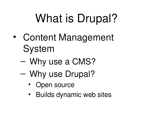# What is Drupal?

- Content Management System
	- Why use a CMS?
	- Why use Drupal?
		- Open source
		- Builds dynamic web sites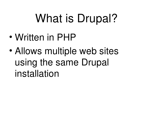# What is Drupal?

- Written in PHP
- Allows multiple web sites using the same Drupal installation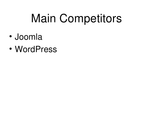## Main Competitors

- Joomla
- WordPress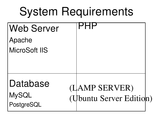## System Requirements

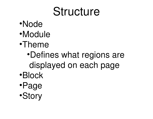## Structure

- •Node
- •Module
- •Theme
	- •Defines what regions are displayed on each page
- •Block
- •Page
- •Story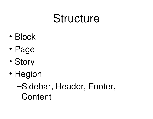## Structure

- Block
- Page
- Story
- Region
	- –Sidebar, Header, Footer, **Content**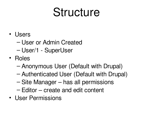## Structure

- Users
	- User or Admin Created
	- User/1 SuperUser
- Roles
	- Anonymous User (Default with Drupal)
	- Authenticated User (Default with Drupal)
	- Site Manager has all permissions
	- Editor create and edit content
- User Permissions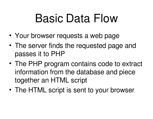## Basic Data Flow

- Your browser requests a web page
- The server finds the requested page and passes it to PHP
- The PHP program contains code to extract information from the database and piece together an HTML script
- The HTML script is sent to your browser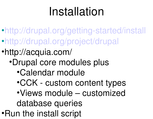## Installation

- [•http://drupal.org/getting-started/install](http://drupal.org/getting-started/install) [•http://drupal.org/project/drupal](http://drupal.org/project/drupal)
- •http://acquia.com/
	- •Drupal core modules plus
		- •Calendar module
		- •CCK custom content types
		- •Views module customized database queries
- •Run the install script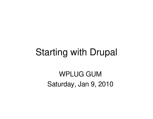#### Starting with Drupal

WPLUG GUM Saturday, Jan 9, 2010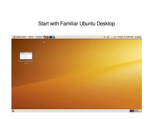#### Start with Familiar Ubuntu Desktop

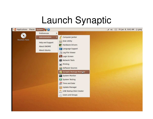## Launch Synaptic

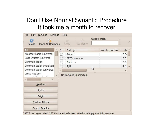#### Don't Use Normal Synaptic Procedure It took me a month to recover

| Mark All Upgrades<br>Reload |                | Properties<br>Apply     |        | Quick search      |               |                      |
|-----------------------------|----------------|-------------------------|--------|-------------------|---------------|----------------------|
| All                         | S              | Package                 |        | Installed Version | Late          |                      |
| Amateur Radio (universe)    | Œ              | 2vcard                  |        |                   | $0.5 -$       |                      |
| Base System (universe)      | П              | 3270-common             |        |                   | 3.3.          |                      |
| Communication               | T              | 3dchess                 |        |                   | 0.8.          |                      |
| Communication (multivers    | $\blacksquare$ | 4g8                     |        |                   | $1.0 -$       | $\ddot{\phantom{1}}$ |
| Communication (universe)    |                |                         | ٣<br>m |                   | $\rightarrow$ |                      |
| 1.7                         |                | No package is selected. |        |                   |               |                      |
| $\,$<br>Sections            |                |                         |        |                   |               |                      |
| <b>Status</b>               |                |                         |        |                   |               |                      |
| Origin                      |                |                         |        |                   |               |                      |
| <b>Custom Filters</b>       |                |                         |        |                   |               |                      |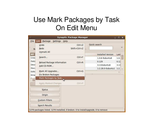#### Use Mark Packages by Task On Edit Menu

| г.                  |                                                                                   | <b>Synaptic Package Manager</b> | المسا                             | $\begin{array}{ c c c }\n\hline\n\text{I} & \text{X}\n\end{array}$ |
|---------------------|-----------------------------------------------------------------------------------|---------------------------------|-----------------------------------|--------------------------------------------------------------------|
| Eile                | Edit<br>Package<br>Settings Help                                                  |                                 |                                   |                                                                    |
| R                   | Undo<br>Redo<br>Unmark All                                                        | $Ctrl + Z$<br>Shift+Ctrl+Z      | Quick search                      |                                                                    |
| All<br>Cros         | Search                                                                            | $Ctrl + F$                      | <b>Installed Version</b>          | Late                                                               |
| Data                | Reload Package Information                                                        | $Ctrl + R$                      | 1.0.6-9ubuntu8<br>0.129           | 1.0.<br>0.12                                                       |
| <b>Deve</b><br>Doct | Add CD-ROM                                                                        |                                 | 3.110ubuntu6<br>1:2.28.0-0ubuntu1 | 3.11<br>1:2.                                                       |
| Edito<br>Ema        | Mark All Upgrades<br><b>Fix Broken Packages</b>                                   | $Ctrl + G$                      | $111 -$                           | э.                                                                 |
|                     | Mark Packages by Task                                                             |                                 |                                   |                                                                    |
|                     | Apply Marked Changes                                                              | $CtrI + P$                      |                                   |                                                                    |
|                     | <b>Status</b>                                                                     |                                 |                                   |                                                                    |
|                     | Origin                                                                            |                                 |                                   |                                                                    |
|                     | <b>Custom Filters</b>                                                             |                                 |                                   |                                                                    |
|                     | Search Results                                                                    |                                 |                                   |                                                                    |
|                     | 1270 packages listed, 1270 installed, 0 broken. 0 to install/upgrade, 0 to remove |                                 |                                   |                                                                    |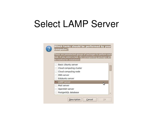### Select LAMP Server

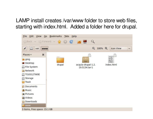#### LAMP install creates /var/www folder to store web files, starting with index.html. Added a folder here for drupal.

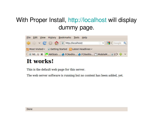#### With Proper Install,<http://localhost>will display dummy page.



#### It works!

This is the default web page for this server.

The web server software is running but no content has been added, yet.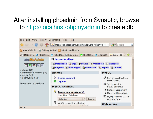#### After installing phpadmin from Synaptic, browse to<http://localhost/phpmyadmin>to create db

| File Edit<br>View                                          | History Bookmarks Tools Help                                  |                                                                                                                                 |  |  |
|------------------------------------------------------------|---------------------------------------------------------------|---------------------------------------------------------------------------------------------------------------------------------|--|--|
| $\checkmark$                                               | At http://localhost/phpmyadmin/index.php?token=a.             | $\sim$ Google<br>Q                                                                                                              |  |  |
| Most Visited v   Getting Started   Latest Headlines v      |                                                               |                                                                                                                                 |  |  |
|                                                            | MobileM e FCKedito P FCKedito The Oasi P The Oasi e localhost | $P_{WA}$ local $\mathcal{K}$                                                                                                    |  |  |
| phpWy/Admin                                                | <b>日 Server: localhost</b>                                    |                                                                                                                                 |  |  |
| <b>5QL</b><br>$\mathbb{Q}$ )<br>  29                       | political interests in Section in Mariables                   | <b>柳Charsets</b>                                                                                                                |  |  |
|                                                            | <b>SEngines CaPrivileges SeProcesses</b>                      | <b>@Export</b> @Import                                                                                                          |  |  |
| $\bullet$ drupal (48)<br>· information schema (28)         | <b>Actions</b>                                                | <b>MySQL</b>                                                                                                                    |  |  |
| emysql(23)<br>· phpmyadmin (8)<br>Please select a database | Change password<br>♔<br>Log out                               | Server: Localhost via<br>UNIX socket<br>園<br>Server version:<br>5.1.37-1ubuntu5<br>Protocol version: 10<br>User: root@localhost |  |  |
|                                                            | <b>MySQL localhost</b>                                        |                                                                                                                                 |  |  |
|                                                            | Create new database ?                                         |                                                                                                                                 |  |  |
|                                                            | Your New Database                                             | [12] MySQL charset: UTF-8                                                                                                       |  |  |
|                                                            | Collation<br>$\checkmark$<br>Create                           | Unicode (utf8)                                                                                                                  |  |  |
|                                                            | $\frac{41}{12}$<br>MySQL connection collation:                | <b>Web server</b>                                                                                                               |  |  |
| Done                                                       |                                                               |                                                                                                                                 |  |  |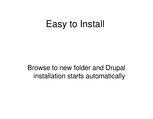### Easy to Install

Browse to new folder and Drupal installation starts automatically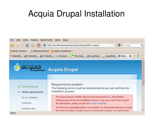#### Acquia Drupal Installation

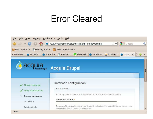#### Error Cleared

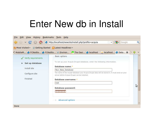### Enter New db in Install

| File Edit View History Bookmarks Tools Help<br>$\checkmark$ | $ N \times$ Google<br>http://localhost/newsite/install.php?profile=acquia<br>$\checkmark$                                                                                                      | Q         |
|-------------------------------------------------------------|------------------------------------------------------------------------------------------------------------------------------------------------------------------------------------------------|-----------|
| Most Visited ~                                              | <b>O</b> Getting Started <b>N</b> Latest Headlines                                                                                                                                             |           |
|                                                             | K MobileM & FCKedito & FCKedito The Dasi The Oasi & localhost and localhost & Data *                                                                                                           |           |
| Verify requirements                                         | Basic options                                                                                                                                                                                  | $\lambda$ |
| Set up database<br>$\blacktriangleright$                    | To set up your Acquia Drupal database, enter the following information.                                                                                                                        |           |
| Install site                                                | Database name: *                                                                                                                                                                               |           |
| Configure site<br>Finished                                  | Your New Database<br>The name of the mysqli database your Acquia Drupal data will be stored in. It must exist on your<br>server before Acquia Drupal can be installed.<br>Database username: * |           |
|                                                             | root<br>Database password:                                                                                                                                                                     | ピ         |
| Done                                                        | 0000000<br>Advanced options<br>$-\circ$                                                                                                                                                        |           |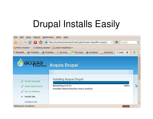## Drupal Installs Easily

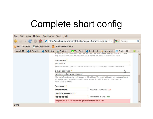## Complete short config

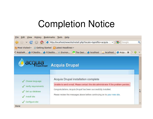### Completion Notice

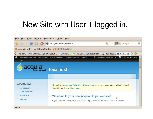#### New Site with User 1 logged in.

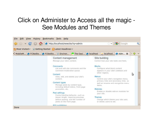#### Click on Administer to Access all the magic - See Modules and Themes



Done